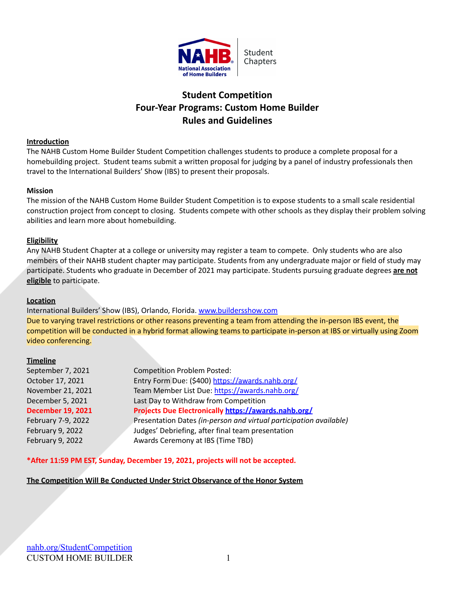

# **Student Competition Four-Year Programs: Custom Home Builder Rules and Guidelines**

#### **Introduction**

The NAHB Custom Home Builder Student Competition challenges students to produce a complete proposal for a homebuilding project. Student teams submit a written proposal for judging by a panel of industry professionals then travel to the International Builders' Show (IBS) to present their proposals.

#### **Mission**

The mission of the NAHB Custom Home Builder Student Competition is to expose students to a small scale residential construction project from concept to closing. Students compete with other schools as they display their problem solving abilities and learn more about homebuilding.

#### **Eligibility**

Any NAHB Student Chapter at a college or university may register a team to compete. Only students who are also members of their NAHB student chapter may participate. Students from any undergraduate major or field of study may participate. Students who graduate in December of 2021 may participate. Students pursuing graduate degrees **are not eligible** to participate.

#### **Location**

International Builders' Show (IBS), Orlando, Florida. [www.buildersshow.com](http://www.buildersshow.com) Due to varying travel restrictions or other reasons preventing a team from attending the in-person IBS event, the competition will be conducted in a hybrid format allowing teams to participate in-person at IBS or virtually using Zoom video conferencing.

#### **Timeline**

| September 7, 2021        | <b>Competition Problem Posted:</b>                                 |
|--------------------------|--------------------------------------------------------------------|
| October 17, 2021         | Entry Form Due: (\$400) https://awards.nahb.org/                   |
| November 21, 2021        | Team Member List Due: https://awards.nahb.org/                     |
| December 5, 2021         | Last Day to Withdraw from Competition                              |
| <b>December 19, 2021</b> | Projects Due Electronically https://awards.nahb.org/               |
| February 7-9, 2022       | Presentation Dates (in-person and virtual participation available) |
| February 9, 2022         | Judges' Debriefing, after final team presentation                  |
| February 9, 2022         | Awards Ceremony at IBS (Time TBD)                                  |
|                          |                                                                    |

**\*After 11:59 PM EST, Sunday, December 19, 2021, projects will not be accepted.**

#### **The Competition Will Be Conducted Under Strict Observance of the Honor System**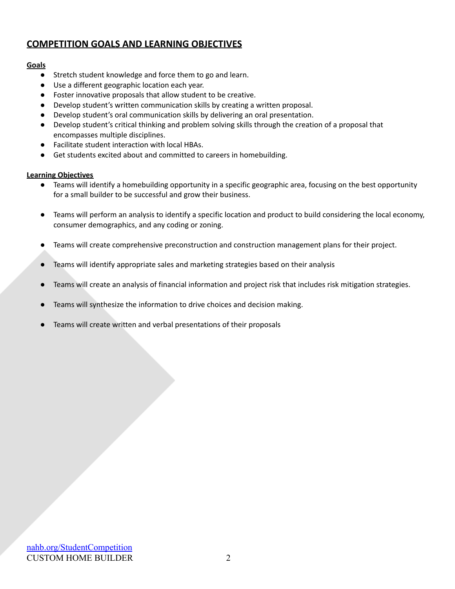# **COMPETITION GOALS AND LEARNING OBJECTIVES**

### **Goals**

- Stretch student knowledge and force them to go and learn.
- Use a different geographic location each year.
- Foster innovative proposals that allow student to be creative.
- Develop student's written communication skills by creating a written proposal.
- Develop student's oral communication skills by delivering an oral presentation.
- Develop student's critical thinking and problem solving skills through the creation of a proposal that encompasses multiple disciplines.
- Facilitate student interaction with local HBAs.
- Get students excited about and committed to careers in homebuilding.

### **Learning Objectives**

- Teams will identify a homebuilding opportunity in a specific geographic area, focusing on the best opportunity for a small builder to be successful and grow their business.
- Teams will perform an analysis to identify a specific location and product to build considering the local economy, consumer demographics, and any coding or zoning.
- Teams will create comprehensive preconstruction and construction management plans for their project.
- Teams will identify appropriate sales and marketing strategies based on their analysis
- Teams will create an analysis of financial information and project risk that includes risk mitigation strategies.
- Teams will synthesize the information to drive choices and decision making.
- Teams will create written and verbal presentations of their proposals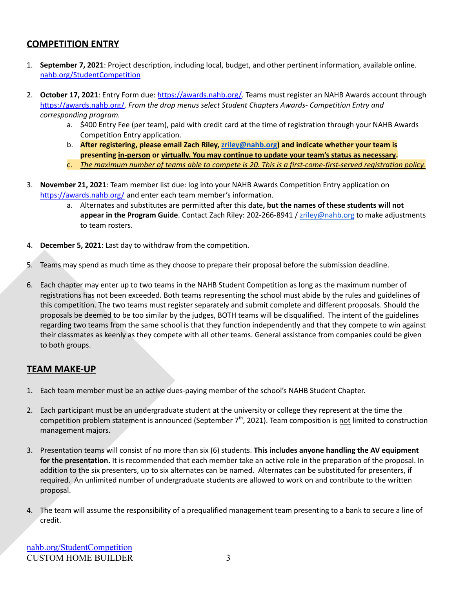# **COMPETITION ENTRY**

- 1. **September 7, 2021**: Project description, including local, budget, and other pertinent information, available online. [nahb.org/StudentCompetition](https://www.nahb.org/Why-NAHB/Types-of-Membership/Student-Chapter-Membership/Student-Competition)
- 2. **October 17, 2021**: Entry Form due: <https://awards.nahb.org/>*.* Teams must register an NAHB Awards account through <https://awards.nahb.org/>*. From the drop menus select Student Chapters Awards- Competition Entry and corresponding program.*
	- a. \$400 Entry Fee (per team), paid with credit card at the time of registration through your NAHB Awards Competition Entry application.
	- b. **After registering, please email Zach Riley, [zriley@nahb.org](mailto:zriley@nahb.org)) and indicate whether your team is presenting in-person or virtually. You may continue to update your team's status as necessary.**
	- c. *The maximum number of teams able to compete is 20. This is a first-come-first-served registration policy.*
- 3. **November 21, 2021**: Team member list due: log into your NAHB Awards Competition Entry application on <https://awards.nahb.org/> and enter each team member's information.
	- a. Alternates and substitutes are permitted after this date**, but the names of these students will not appear in the Program Guide**. Contact Zach Riley: 202-266-8941 / [zriley@nahb.org](mailto:zriley@nahb.org) to make adjustments to team rosters.
- 4. **December 5, 2021**: Last day to withdraw from the competition.
- 5. Teams may spend as much time as they choose to prepare their proposal before the submission deadline.
- 6. Each chapter may enter up to two teams in the NAHB Student Competition as long as the maximum number of registrations has not been exceeded. Both teams representing the school must abide by the rules and guidelines of this competition. The two teams must register separately and submit complete and different proposals. Should the proposals be deemed to be too similar by the judges, BOTH teams will be disqualified. The intent of the guidelines regarding two teams from the same school is that they function independently and that they compete to win against their classmates as keenly as they compete with all other teams. General assistance from companies could be given to both groups.

### **TEAM MAKE-UP**

- 1. Each team member must be an active dues-paying member of the school's NAHB Student Chapter.
- 2. Each participant must be an undergraduate student at the university or college they represent at the time the competition problem statement is announced (September 7<sup>th</sup>, 2021). Team composition is not limited to construction management majors.
- 3. Presentation teams will consist of no more than six (6) students. **This includes anyone handling the AV equipment for the presentation.** It is recommended that each member take an active role in the preparation of the proposal. In addition to the six presenters, up to six alternates can be named. Alternates can be substituted for presenters, if required. An unlimited number of undergraduate students are allowed to work on and contribute to the written proposal.
- 4. The team will assume the responsibility of a prequalified management team presenting to a bank to secure a line of credit.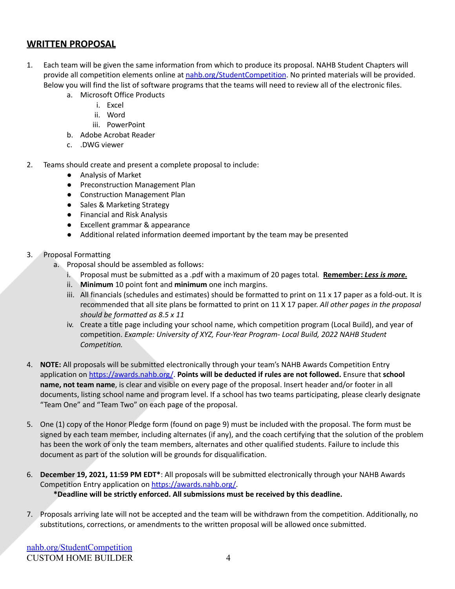### **WRITTEN PROPOSAL**

- 1. Each team will be given the same information from which to produce its proposal. NAHB Student Chapters will provide all competition elements online at [nahb.org/StudentCompetition](https://www.nahb.org/Why-NAHB/Types-of-Membership/Student-Chapter-Membership/Student-Competition). No printed materials will be provided. Below you will find the list of software programs that the teams will need to review all of the electronic files.
	- a. Microsoft Office Products
		- i. Excel
		- ii. Word
		- iii. PowerPoint
	- b. Adobe Acrobat Reader
	- c. .DWG viewer
- 2. Teams should create and present a complete proposal to include:
	- Analysis of Market
	- Preconstruction Management Plan
	- Construction Management Plan
	- Sales & Marketing Strategy
	- Financial and Risk Analysis
	- Excellent grammar & appearance
	- Additional related information deemed important by the team may be presented
- 3. Proposal Formatting
	- a. Proposal should be assembled as follows:
		- i. Proposal must be submitted as a .pdf with a maximum of 20 pages total*.* **Remember:** *Less is more.*
		- ii. **Minimum** 10 point font and **minimum** one inch margins.
		- iii. All financials (schedules and estimates) should be formatted to print on  $11 \times 17$  paper as a fold-out. It is recommended that all site plans be formatted to print on 11 X 17 paper. *All other pages in the proposal should be formatted as 8.5 x 11*
		- iv. Create a title page including your school name, which competition program (Local Build), and year of competition. *Example: University of XYZ, Four-Year Program- Local Build, 2022 NAHB Student Competition.*
- 4. **NOTE:** All proposals will be submitted electronically through your team's NAHB Awards Competition Entry application on <https://awards.nahb.org/>. **Points will be deducted if rules are not followed.** Ensure that **school name, not team name**, is clear and visible on every page of the proposal. Insert header and/or footer in all documents, listing school name and program level. If a school has two teams participating, please clearly designate "Team One" and "Team Two" on each page of the proposal.
- 5. One (1) copy of the Honor Pledge form (found on page 9) must be included with the proposal. The form must be signed by each team member, including alternates (if any), and the coach certifying that the solution of the problem has been the work of only the team members, alternates and other qualified students. Failure to include this document as part of the solution will be grounds for disqualification.
- 6. **December 19, 2021, 11:59 PM EDT\***: All proposals will be submitted electronically through your NAHB Awards Competition Entry application on [https://awards.nahb.org/.](https://awards.nahb.org/) **\*Deadline will be strictly enforced. All submissions must be received by this deadline.**
- 7. Proposals arriving late will not be accepted and the team will be withdrawn from the competition. Additionally, no substitutions, corrections, or amendments to the written proposal will be allowed once submitted.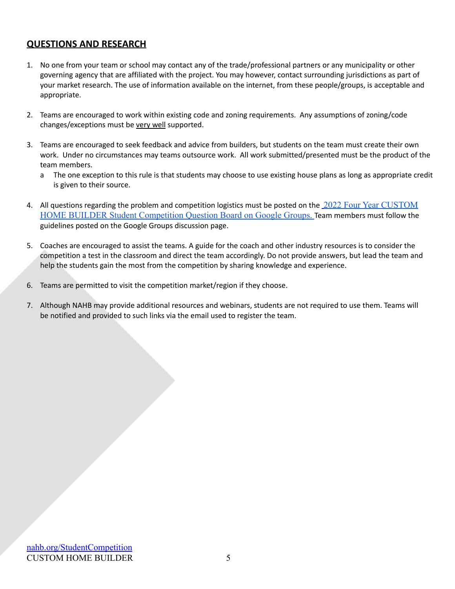# **QUESTIONS AND RESEARCH**

- 1. No one from your team or school may contact any of the trade/professional partners or any municipality or other governing agency that are affiliated with the project. You may however, contact surrounding jurisdictions as part of your market research. The use of information available on the internet, from these people/groups, is acceptable and appropriate.
- 2. Teams are encouraged to work within existing code and zoning requirements. Any assumptions of zoning/code changes/exceptions must be very well supported.
- 3. Teams are encouraged to seek feedback and advice from builders, but students on the team must create their own work. Under no circumstances may teams outsource work. All work submitted/presented must be the product of the team members.
	- a The one exception to this rule is that students may choose to use existing house plans as long as appropriate credit is given to their source.
- 4. All questions regarding the problem and competition logistics must be posted on the [2022 Four Year CUSTOM](https://groups.google.com/g/2022-four-year-custom-home-builder-student-competition) [HOME BUILDER Student Competition Question Board on](https://groups.google.com/g/2022-four-year-custom-home-builder-student-competition) Google Groups. Team members must follow the guidelines posted on the Google Groups discussion page.
- 5. Coaches are encouraged to assist the teams. A guide for the coach and other industry resources is to consider the competition a test in the classroom and direct the team accordingly. Do not provide answers, but lead the team and help the students gain the most from the competition by sharing knowledge and experience.
- 6. Teams are permitted to visit the competition market/region if they choose.
- 7. Although NAHB may provide additional resources and webinars, students are not required to use them. Teams will be notified and provided to such links via the email used to register the team.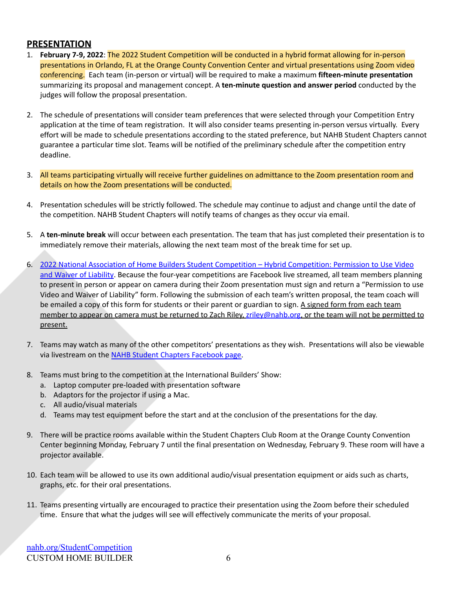# **PRESENTATION**

- 1. **February 7-9, 2022**: The 2022 Student Competition will be conducted in a hybrid format allowing for in-person presentations in Orlando, FL at the Orange County Convention Center and virtual presentations using Zoom video conferencing. Each team (in-person or virtual) will be required to make a maximum **fifteen-minute presentation** summarizing its proposal and management concept. A **ten-minute question and answer period** conducted by the judges will follow the proposal presentation.
- 2. The schedule of presentations will consider team preferences that were selected through your Competition Entry application at the time of team registration. It will also consider teams presenting in-person versus virtually. Every effort will be made to schedule presentations according to the stated preference, but NAHB Student Chapters cannot guarantee a particular time slot. Teams will be notified of the preliminary schedule after the competition entry deadline.
- 3. All teams participating virtually will receive further guidelines on admittance to the Zoom presentation room and details on how the Zoom presentations will be conducted.
- 4. Presentation schedules will be strictly followed. The schedule may continue to adjust and change until the date of the competition. NAHB Student Chapters will notify teams of changes as they occur via email.
- 5. A **ten-minute break** will occur between each presentation. The team that has just completed their presentation is to immediately remove their materials, allowing the next team most of the break time for set up.
- 6. 2022 National Association of Home Builders Student Competition Hybrid [Competition:](https://drive.google.com/file/d/1MgiWnZJl3G5SLxZ8-KKYiXPGColcyI5m/view?usp=sharing) Permission to Use Video and Waiver of [Liability](https://drive.google.com/file/d/1MgiWnZJl3G5SLxZ8-KKYiXPGColcyI5m/view?usp=sharing). Because the four-year competitions are Facebook live streamed, all team members planning to present in person or appear on camera during their Zoom presentation must sign and return a "Permission to use Video and Waiver of Liability" form. Following the submission of each team's written proposal, the team coach will be emailed a copy of this form for students or their parent or guardian to sign. A signed form from each team member to appear on camera must be returned to Zach Riley, [zriley@nahb.org,](mailto:zriley@nahb.org) or the team will not be permitted to present.
- 7. Teams may watch as many of the other competitors' presentations as they wish. Presentations will also be viewable via livestream on the NAHB Student Chapters [Facebook](https://www.facebook.com/NAHBstudentchapters) page.
- 8. Teams must bring to the competition at the International Builders' Show:
	- a. Laptop computer pre-loaded with presentation software
	- b. Adaptors for the projector if using a Mac.
	- c. All audio/visual materials
	- d. Teams may test equipment before the start and at the conclusion of the presentations for the day.
- 9. There will be practice rooms available within the Student Chapters Club Room at the Orange County Convention Center beginning Monday, February 7 until the final presentation on Wednesday, February 9. These room will have a projector available.
- 10. Each team will be allowed to use its own additional audio/visual presentation equipment or aids such as charts, graphs, etc. for their oral presentations.
- 11. Teams presenting virtually are encouraged to practice their presentation using the Zoom before their scheduled time. Ensure that what the judges will see will effectively communicate the merits of your proposal.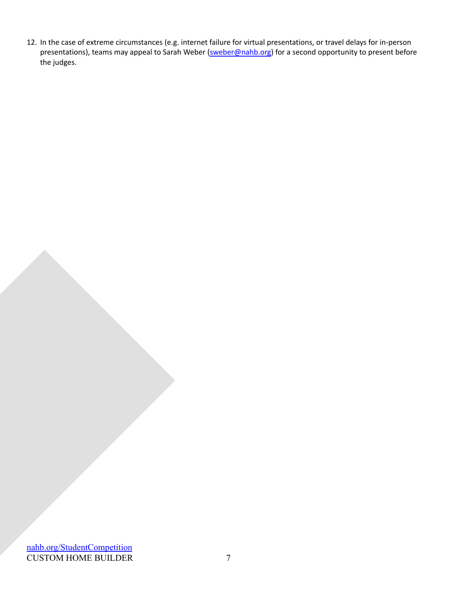12. In the case of extreme circumstances (e.g. internet failure for virtual presentations, or travel delays for in-person presentations), teams may appeal to Sarah Weber [\(sweber@nahb.org\)](mailto:sweber@nahb.org) for a second opportunity to present before the judges.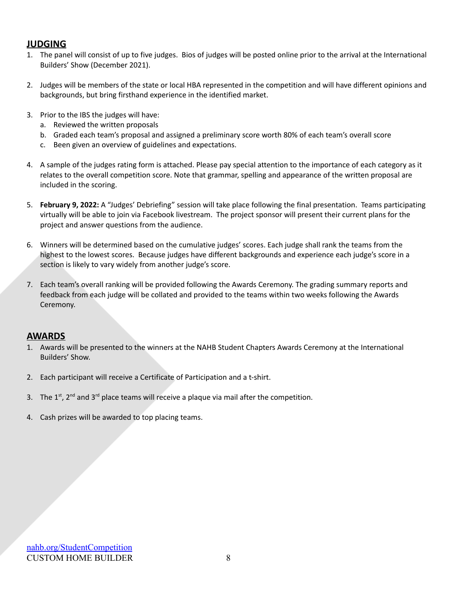### **JUDGING**

- 1. The panel will consist of up to five judges. Bios of judges will be posted online prior to the arrival at the International Builders' Show (December 2021).
- 2. Judges will be members of the state or local HBA represented in the competition and will have different opinions and backgrounds, but bring firsthand experience in the identified market.
- 3. Prior to the IBS the judges will have:
	- a. Reviewed the written proposals
	- b. Graded each team's proposal and assigned a preliminary score worth 80% of each team's overall score
	- c. Been given an overview of guidelines and expectations.
- 4. A sample of the judges rating form is attached. Please pay special attention to the importance of each category as it relates to the overall competition score. Note that grammar, spelling and appearance of the written proposal are included in the scoring.
- 5. **February 9, 2022:** A "Judges' Debriefing" session will take place following the final presentation. Teams participating virtually will be able to join via Facebook livestream. The project sponsor will present their current plans for the project and answer questions from the audience.
- 6. Winners will be determined based on the cumulative judges' scores. Each judge shall rank the teams from the highest to the lowest scores. Because judges have different backgrounds and experience each judge's score in a section is likely to vary widely from another judge's score.
- 7. Each team's overall ranking will be provided following the Awards Ceremony. The grading summary reports and feedback from each judge will be collated and provided to the teams within two weeks following the Awards Ceremony.

### **AWARDS**

- 1. Awards will be presented to the winners at the NAHB Student Chapters Awards Ceremony at the International Builders' Show.
- 2. Each participant will receive a Certificate of Participation and a t-shirt.
- 3. The  $1<sup>st</sup>$ ,  $2<sup>nd</sup>$  and  $3<sup>rd</sup>$  place teams will receive a plaque via mail after the competition.
- 4. Cash prizes will be awarded to top placing teams.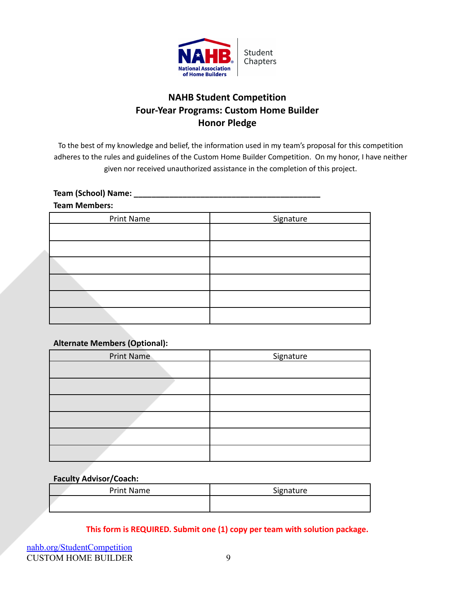

# **NAHB Student Competition Four-Year Programs: Custom Home Builder Honor Pledge**

To the best of my knowledge and belief, the information used in my team's proposal for this competition adheres to the rules and guidelines of the Custom Home Builder Competition. On my honor, I have neither given nor received unauthorized assistance in the completion of this project.

#### **Team (School) Name:**

#### **Team Members:**

| Print Name | Signature |
|------------|-----------|
|            |           |
|            |           |
|            |           |
|            |           |
|            |           |
|            |           |

### **Alternate Members (Optional):**

| <b>Print Name</b> | Signature |
|-------------------|-----------|
|                   |           |
|                   |           |
|                   |           |
|                   |           |
|                   |           |
|                   |           |

#### **Faculty Advisor/Coach:**

| Print Name | Signature |
|------------|-----------|
|            |           |

**This form is REQUIRED. Submit one (1) copy per team with solution package.**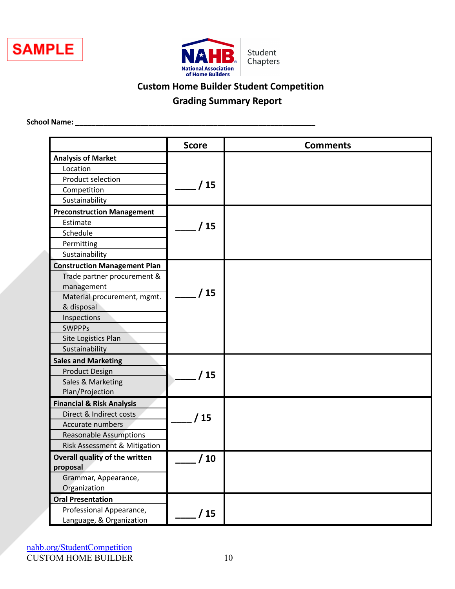



# **Custom Home Builder Student Competition**

# **Grading Summary Report**

**School Name: \_\_\_\_\_\_\_\_\_\_\_\_\_\_\_\_\_\_\_\_\_\_\_\_\_\_\_\_\_\_\_\_\_\_\_\_\_\_\_\_\_\_\_\_\_\_\_\_\_\_\_\_\_\_\_\_\_\_\_**

|                                      | <b>Score</b>   | <b>Comments</b> |
|--------------------------------------|----------------|-----------------|
| <b>Analysis of Market</b>            |                |                 |
| Location                             |                |                 |
| Product selection                    |                |                 |
| Competition                          | / 15           |                 |
| Sustainability                       |                |                 |
| <b>Preconstruction Management</b>    |                |                 |
| Estimate                             | 15             |                 |
| Schedule                             |                |                 |
| Permitting                           |                |                 |
| Sustainability                       |                |                 |
| <b>Construction Management Plan</b>  |                |                 |
| Trade partner procurement &          |                |                 |
| management                           |                |                 |
| Material procurement, mgmt.          | $^{\prime}$ 15 |                 |
| & disposal                           |                |                 |
| Inspections                          |                |                 |
| <b>SWPPPs</b>                        |                |                 |
| Site Logistics Plan                  |                |                 |
| Sustainability                       |                |                 |
| <b>Sales and Marketing</b>           |                |                 |
| <b>Product Design</b>                | 15             |                 |
| Sales & Marketing                    |                |                 |
| Plan/Projection                      |                |                 |
| <b>Financial &amp; Risk Analysis</b> |                |                 |
| Direct & Indirect costs              | 15             |                 |
| Accurate numbers                     |                |                 |
| <b>Reasonable Assumptions</b>        |                |                 |
| Risk Assessment & Mitigation         |                |                 |
| Overall quality of the written       | 10             |                 |
| proposal                             |                |                 |
| Grammar, Appearance,                 |                |                 |
| Organization                         |                |                 |
| <b>Oral Presentation</b>             |                |                 |
| Professional Appearance,             | 15             |                 |
| Language, & Organization             |                |                 |